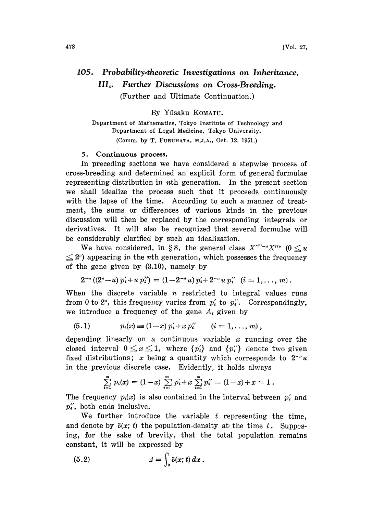## 105. Probability.theoretic Investigations on Inheritance. III<sub>4</sub>. Further Discussions on Cross-Breeding. (Further and Ultimate Continuation.)

By Yfisaku KOMATU.

Department of Mathematics, Tokyo Institute of Technology and Department of Legal Medicine, Tokyo University. (Comm. by T. FURUHATA, M.J.A., Oct. 12, 1951.)

## 5. Continuous process.

In preceding sections we have considered a stepwise process of eross-breeding and determined an explicit form of general formulae representing distribution in nth generation. In the present section we shall idealize the process such that it proceeds continuously with the lapse of the time. According to such a manner of treatment, the sums or differences of various kinds in the previous diseussion will then be replaced by the corresponding integrals or derivatives. It will also be reeognized that several formulae will be considerably clarified by such an idealization.

We have considered, in §3, the general class  $X^{\prime 2^{n}-u}X^{\prime\prime u}$  ( $0\leq u$  $\leq$  2<sup>n</sup>) appearing in the nth generation, which possesses the frequency of the gene given by (8.10), namely by

$$
2^{-n} ((2^n-u) p'_i+u p''_i) = (1-2^{-n} u) p'_i+2^{-n} u p''_i \quad (i=1,\ldots,m).
$$

When the discrete variable  $n$  restricted to integral values runs from 0 to 2", this frequency varies from  $p'_i$  to  $p''_i$ . Correspondingly, we introduce a frequency of the gene  $A_i$  given by

(5.1) 
$$
p_i(x) = (1-x) p'_i + x p''_i \qquad (i = 1, ..., m),
$$

depending linearly on a continuous variable  $x$  running over the closed interval  $0 \le x \le 1$ , where  $\{p'_i\}$  and  $\{p''_i\}$  denote two given fixed distributions; x being a quantity which corresponds to  $2^{-n}u$ in the previous discrete case. Evidently, it holds always

$$
\sum_{i=1}^m p_i(x) = (1-x) \sum_{i=1}^m p'_i + x \sum_{i=1}^m p''_i = (1-x) + x = 1.
$$

The frequency  $p_i(x)$  is also contained in the interval between  $p'_i$  and  $p''_i$ , both ends inclusive.

We further introduce the variable  $t$  representing the time, and denote by  $\delta(x; t)$  the population-density at the time t. Supposing, for the sake of brevity, that the total population remains constant, it will be expressed by

(5.2) 
$$
\qquad \qquad J = \int_0^1 \delta(x;t) \, dx \, .
$$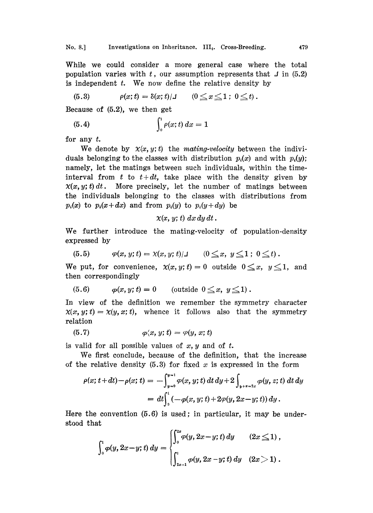While we could consider a more general case where the total population varies with t, our assumption represents that  $\Delta$  in (5.2) is independent  $t$ . We now define the relative density by

 $\rho(x; t) = \delta(x; t)/\Delta$   $(0 \le x \le 1; 0 \le t)$ .  $(5.3)$ 

Because of (5.2), we then get

$$
\int_0^1 \rho(x;t) \, dx = 1
$$

for any  $t$ .

We denote by  $\chi(x, y; t)$  the mating-velocity between the individuals belonging to the classes with distribution  $p_i(x)$  and with  $p_i(y)$ ; namely, let the matings between such individuals, within the timeinterval from t to  $t+dt$ , take place with the density given by  $x(x, y; t) dt$ . More precisely, let the number of matings between the individuals belonging to the classes with distributions from  $p_i(x)$  to  $p_i(x+dx)$  and from  $p_i(y)$  to  $p_i(y+dy)$  be

 $\chi(x, y; t) dx dy dt$ .

We further introduce the mating-velocity of population-density expressed by pressed by<br>
(5.5)  $\varphi(x, y; t) = \chi(x, y; t)/\mu$  (0  $\leq$  x,  $y \leq 1$ ; 0  $\leq$  t)

$$
(5.5) \t\t \varphi(x,y;t) = \chi(x,y;t)/\bot \t\t (0 \leq x, y \leq 1 \,;\, 0 \leq t) \,.
$$

We put, for convenience,  $x(x, y; t) = 0$  outside  $0 \le x$ ,  $y \le 1$ , and<br>then correspondingly<br>(5.6)  $\varphi(x, y; t) = 0$  (outside  $0 \le x$ ,  $y \le 1$ ). then correspondingly

$$
(5.6) \qquad \varphi(x, y; t) = 0 \qquad \text{(outside } 0 \leq x, y \leq 1).
$$

In view of the definition we remember the symmetry character  $x(x, y; t) = x(y, x; t)$ , whence it follows also that the symmetry relation

$$
(5.7) \qquad \qquad \varphi(x, y; t) = \varphi(y, x; t)
$$

is valid for all possible values of  $x, y$  and of  $t$ .

We first conclude, because of the definition, that the increase of the relative density  $(5.3)$  for fixed x is expressed in the form

$$
\rho(x; t+dt) - \rho(x; t) = -\int_{y=0}^{y=1} \varphi(x, y; t) dt dy + 2 \int_{y+z=2x} \varphi(y, z; t) dt dy
$$
  
=  $dt \int_{0}^{1} (-\varphi(x, y; t) + 2\varphi(y, 2x - y; t)) dy$ .

Here the convention (5.6) is used; in particular, it may be understood that

$$
\int_0^1 \varphi(y, 2x - y; t) dy = \begin{cases} \int_0^{2x} \varphi(y, 2x - y; t) dy & (2x \le 1), \\ \int_{2x-1}^1 \varphi(y, 2x - y; t) dy & (2x > 1). \end{cases}
$$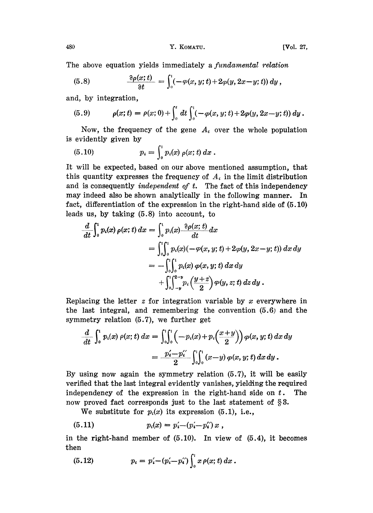The above equation yields immediately a fundamental relation

(5.8) 
$$
\frac{\partial \rho(x;t)}{\partial t} = \int_0^1 (-\varphi(x,y;t) + 2\varphi(y,2x-y;t)) dy,
$$

and, by integration,

(5.9) 
$$
\rho(x;t) = \rho(x;0) + \int_0^t dt \int_0^1 (-\varphi(x,y;t) + 2\varphi(y,2x-y;t)) dy.
$$

Now, the frequency of the gene  $A_i$  over the whole population is evidently given by

(5.10) 
$$
p_i = \int_0^i p_i(x) \, \rho(x;t) \, dx \, .
$$

It will be expected, based on our above mentioned assumption, that this quantity expresses the frequency of  $A_i$  in the limit distribution and is consequently *independent* of  $t$ . The fact of this independency may indeed also be shown analytically in the following manner. In fact, differentiation of the expression in the right-hand side of (5.10) leads us, by taking (5.8) into account, to

$$
\frac{d}{dt} \int_0^1 p_i(x) \, \rho(x; t) \, dx = \int_0^1 p_i(x) \frac{\partial \rho(x; t)}{\partial t} dx \n= \int_0^1 \int_0^1 p_i(x) (-\varphi(x, y; t) + 2\varphi(y, 2x - y; t)) \, dx \, dy \n= - \int_0^1 \int_0^1 p_i(x) \, \varphi(x, y; t) \, dx \, dy \n+ \int_0^1 \int_{-y}^{2-y} p_i \left( \frac{y+z}{2} \right) \varphi(y, z; t) \, dz \, dy .
$$

Replacing the letter  $z$  for integration variable by  $x$  everywhere in the last integral, and remembering the convention  $(5.6)$  and the symmetry relation (5.7), we further get

$$
\frac{d}{dt}\int_0^t p_i(x)\,\rho(x;t)\,dx = \int_0^t \int_0^t \left(-p_i(x)+p_i\left(\frac{x+y}{2}\right)\right)\varphi(x,y;t)\,dx\,dy
$$

$$
= \frac{p_i'-p_i'}{2}\int_0^t \int_0^t (x-y)\,\varphi(x,y;t)\,dx\,dy\,.
$$

By using now again the symmetry relation (5.7), it will be easily verified that the last integral evidently vanishes, yielding the required independency of the expression in the right-hand side on  $t$ . The now proved fact corresponds just to the last statement of  $\S 3$ .

We substitute for  $p_i(x)$  its expression (5.1), i.e.,

(5.11) 
$$
p_i(x) = p'_i - (p'_i - p'_i)x,
$$

in the right-hand member of  $(5.10)$ . In view of  $(5.4)$ , it becomes then

(5.12) 
$$
p_i = p'_i - (p'_i - p''_i) \int_0^1 x \, \rho(x; t) \, dx \, .
$$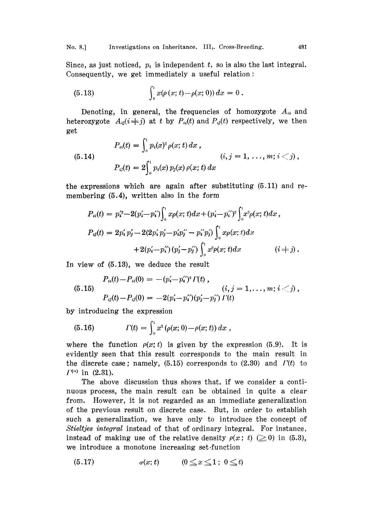Since, as just noticed,  $p_i$  is independent t, so is also the last integral. Consequently, we get immediately a useful relation:

(5.13) 
$$
\int_0^1 x(\rho(x;t)-\rho(x;0)) dx = 0.
$$

Denoting, in general, the frequencies of homozygote  $A_{ii}$  and heterozygote  $A_{ij}$ ( $i \neq j$ ) at t by  $P_{ij}(t)$  and  $P_{ij}(t)$  respectively, we then get

(5.14)  
\n
$$
P_{ii}(t) = \int_0^1 p_i(x)^2 \rho(x; t) dx ,
$$
\n
$$
(i, j = 1, ..., m; i < j),
$$
\n
$$
P_{ij}(t) = 2 \int_0^1 p_i(x) p_j(x) \rho(x; t) dx
$$

the expressions which are again after substituting (5.11) and remembering (5.4), written also in the form

$$
P_{ii}(t) = p_{i}^{'2} - 2(p'_{i} - p'_{i}) \int_{0}^{1} x \rho(x; t) dx + (p'_{i} - p''_{i})^{2} \int_{0}^{1} x^{2} \rho(x; t) dx,
$$
  
\n
$$
P_{ij}(t) = 2p'_{i} p'_{j} - 2(2p'_{i} p'_{j} - p'_{i} p''_{j} - p''_{i} p'_{j}) \int_{0}^{1} x \rho(x; t) dx
$$
  
\n
$$
+ 2(p'_{i} - p''_{i}) (p'_{j} - p'_{j}) \int_{0}^{1} x^{2} \rho(x; t) dx \qquad (i \neq j).
$$

In view of (5.13), we deduce the result

$$
P_{ii}(t) - P_{ii}(0) = -(p'_i - p''_i)^2 \varGamma(t) , \qquad (i,j = 1, \ldots, m; i < j) ,
$$
  
(5.15) 
$$
P_{ij}(t) - P_{ij}(0) = -2(p'_i - p''_i)(p'_j - p''_j) \varGamma(t)
$$

by introducing the expression

(5.16) 
$$
\Gamma(t) = \int_0^1 x^2 (\rho(x; 0) - \rho(x; t)) dx,
$$

where the function  $\rho(x; t)$  is given by the expression (5.9). It is evidently seen that this result eorresponds to the main result in the discrete case; namely,  $(5.15)$  corresponds to  $(2.30)$  and  $\Gamma(t)$  to  $\Gamma^{(n)}$  in (2.31).

The above discussion thus shows that, if we consider a continuous process, the main result can be obtained in quite a clear from. However, it is not regarded as an immediate generalization of the previous result on diserete ease. But, in order to establish sueh a generalization, we have only to introduce the concept of Stieltjes integral instead of that of ordinary integral. For instance, instead of making use of the relative density  $\rho(x; t) \geq 0$  in (5.3), we introduce a monotone increasing set-function

$$
(5.17) \qquad \qquad \sigma(x;t) \qquad \qquad (0 \le x \le 1 \,;\; 0 \le t)
$$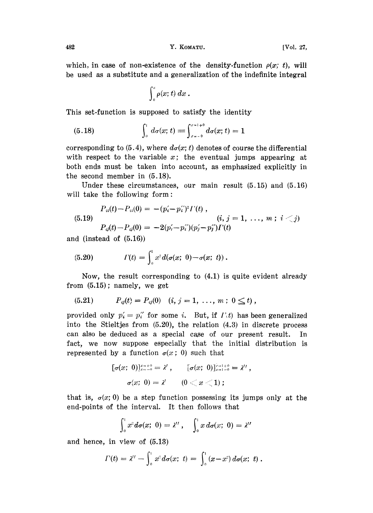which, in case of non-existence of the density-function  $\rho(x; t)$ , will be used as a substitute and a generalization of the indefinite integral

$$
\int_0^x \rho(x;t)\ dx\ .
$$

This set-function is supposed to satisfy the identity

(5.18) 
$$
\int_0^1 d\sigma(x;t) \equiv \int_{x=-0}^{x=1+0} d\sigma(x;t) = 1
$$

corresponding to (5.4), where  $d\sigma(x; t)$  denotes of course the differential with respect to the variable  $x$ ; the eventual jumps appearing at both ends must be taken into account, as emphasized explicitly in the second member in (5.18).

Under these circumstances, our main result (5.15) and (5.16) will take the following form:

(5.19)  
\n
$$
P_{ii}(t) - P_{ii}(0) = -(p'_i - p''_i)^2 \Gamma'(t) ,
$$
\n
$$
(i, j = 1, ..., m; i < j)
$$
\n
$$
P_{ij}(t) - P_{ij}(0) = -2(p'_i - p''_i)(p'_j - p''_j) \Gamma(t)
$$

and (instead of  $(5.16)$ )

(5.20) 
$$
\Gamma(t) = \int_0^1 x^2 d(\sigma(x; 0) - \sigma(x; t)).
$$

Now, the result corresponding to (4.1) is quite evident already from  $(5.15)$ ; namely, we get

$$
(5.21) \t P_{ij}(t) = P_{ij}(0) \t (i, j = 1, ..., m; 0 \leq t),
$$

provided only  $p'_i = p''_i$  for some *i*. But, if  $I'(t)$  has been generalized into the Stieltjes from  $(5.20)$ , the relation  $(4.3)$  in discrete process can also be deduced as a special case of our present result. In fact, we now suppose especially that the initial distribution is represented by a function  $\sigma(x; 0)$  such that

$$
\begin{aligned} &[\sigma(x;\;0)]_{x=-0}^{x=-0}=\lambda'\,,\qquad [\sigma(x;\;0)]_{x=-1-0}^{x=1+0}=\lambda'\,,\\ &\sigma(x;\;0)=\lambda'\qquad (0< x< 1)\,; \end{aligned}
$$

that is,  $\sigma(x; 0)$  be a step function possessing its jumps only at the end-points of the interval. It then follows that

$$
\int_0^1 x^2 d\sigma(x; 0) = \lambda'' , \quad \int_0^1 x d\sigma(x; 0) = \lambda''
$$

and hence, in view of (5.13)

$$
\Gamma(t) = \lambda'' - \int_0^1 x^2 d\sigma(x; t) = \int_0^1 (x - x^2) d\sigma(x; t).
$$